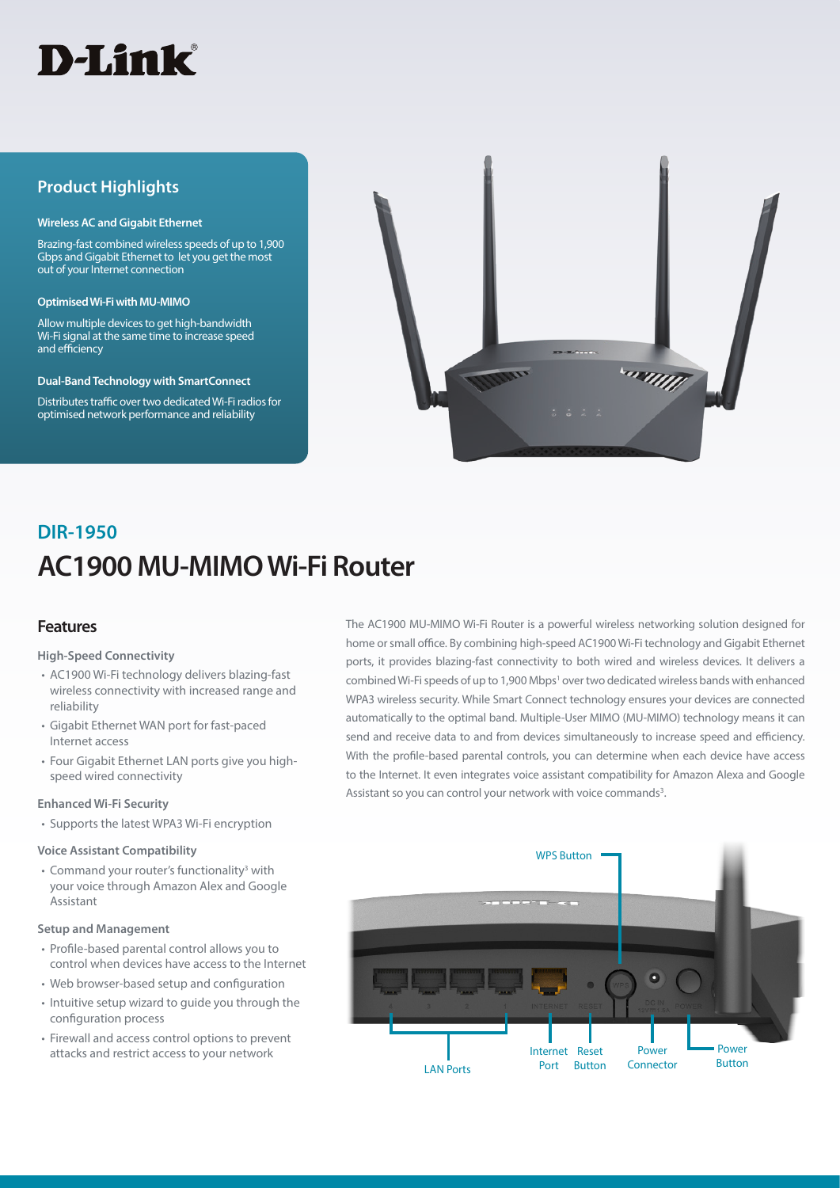

### **Product Highlights**

#### **Wireless AC and Gigabit Ethernet**

Brazing-fast combined wireless speeds of up to 1,900 Gbps and Gigabit Ethernet to let you get the most out of your Internet connection

#### **Optimised Wi-Fi with MU-MIMO**

Allow multiple devices to get high-bandwidth Wi-Fi signal at the same time to increase speed and efficiency

#### **Dual-Band Technology with SmartConnect**

Distributes traffic over two dedicated Wi-Fi radios for optimised network performance and reliability



# **AC1900 MU-MIMO Wi-Fi Router DIR-1950**

### **Features**

#### **High-Speed Connectivity**

- AC1900 Wi-Fi technology delivers blazing-fast wireless connectivity with increased range and reliability
- Gigabit Ethernet WAN port for fast-paced Internet access
- Four Gigabit Ethernet LAN ports give you highspeed wired connectivity

#### **Enhanced Wi-Fi Security**

• Supports the latest WPA3 Wi-Fi encryption

#### **Voice Assistant Compatibility**

• Command your router's functionality<sup>3</sup> with your voice through Amazon Alex and Google Assistant

#### **Setup and Management**

- Profile-based parental control allows you to control when devices have access to the Internet
- Web browser-based setup and configuration
- Intuitive setup wizard to guide you through the configuration process
- Firewall and access control options to prevent attacks and restrict access to your network

The AC1900 MU-MIMO Wi-Fi Router is a powerful wireless networking solution designed for home or small office. By combining high-speed AC1900 Wi-Fi technology and Gigabit Ethernet ports, it provides blazing-fast connectivity to both wired and wireless devices. It delivers a combined Wi-Fi speeds of up to 1,900 Mbps<sup>1</sup> over two dedicated wireless bands with enhanced WPA3 wireless security. While Smart Connect technology ensures your devices are connected automatically to the optimal band. Multiple-User MIMO (MU-MIMO) technology means it can send and receive data to and from devices simultaneously to increase speed and efficiency. With the profile-based parental controls, you can determine when each device have access to the Internet. It even integrates voice assistant compatibility for Amazon Alexa and Google Assistant so you can control your network with voice commands<sup>3</sup>.